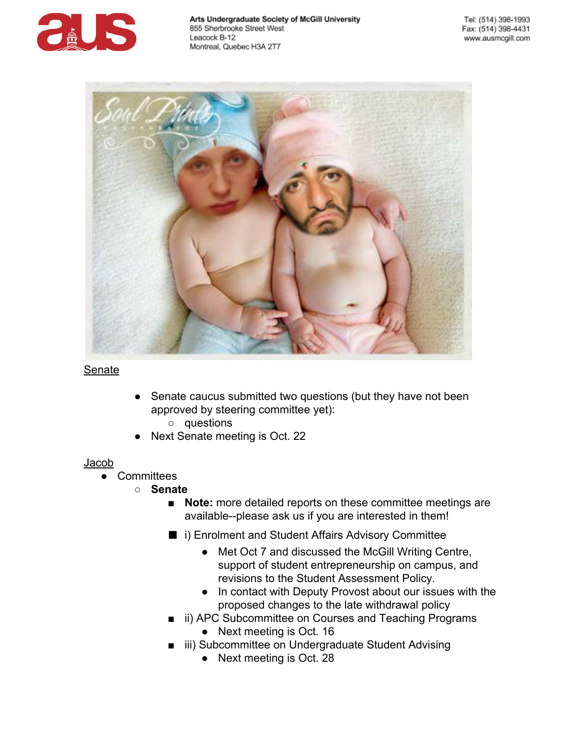



### Senate

- Senate caucus submitted two questions (but they have not been approved by steering committee yet):
	- questions
- Next Senate meeting is Oct. 22

### Jacob

- Committees
	- **Senate**
		- **Note:** more detailed reports on these committee meetings are available--please ask us if you are interested in them!
		- i) Enrolment and Student Affairs Advisory Committee
			- Met Oct 7 and discussed the McGill Writing Centre, support of student entrepreneurship on campus, and revisions to the Student Assessment Policy.
			- In contact with Deputy Provost about our issues with the proposed changes to the late withdrawal policy
		- ii) APC Subcommittee on Courses and Teaching Programs
			- Next meeting is Oct. 16
		- iii) Subcommittee on Undergraduate Student Advising
			- Next meeting is Oct. 28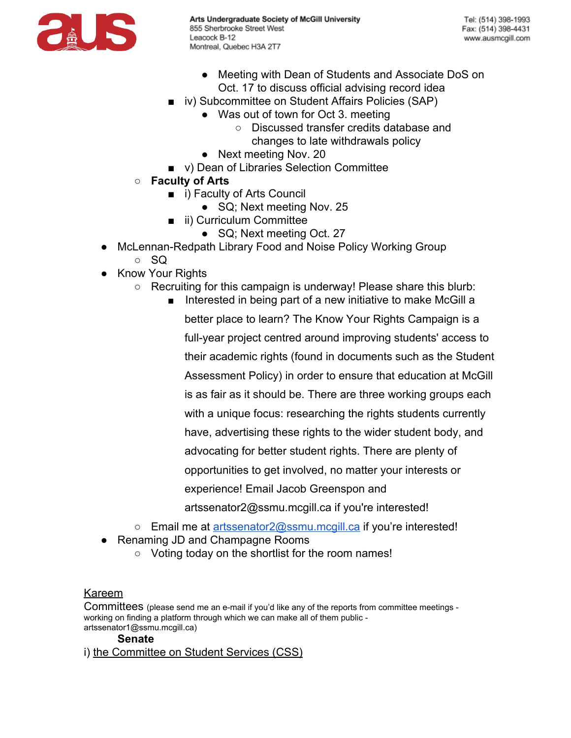

- Meeting with Dean of Students and Associate DoS on Oct. 17 to discuss official advising record idea
- iv) Subcommittee on Student Affairs Policies (SAP)
	- Was out of town for Oct 3. meeting
		- Discussed transfer credits database and changes to late withdrawals policy
	- Next meeting Nov. 20
- v) Dean of Libraries Selection Committee
- **Faculty of Arts**
	- i) Faculty of Arts Council
		- SQ; Next meeting Nov. 25
	- ii) Curriculum Committee
		- SQ; Next meeting Oct. 27
- McLennan-Redpath Library Food and Noise Policy Working Group
	- SQ
- Know Your Rights
	- Recruiting for this campaign is underway! Please share this blurb:

■ Interested in being part of a new initiative to make McGill a better place to learn? The Know Your Rights Campaign is a full-year project centred around improving students' access to their academic rights (found in documents such as the Student Assessment Policy) in order to ensure that education at McGill is as fair as it should be. There are three working groups each with a unique focus: researching the rights students currently have, advertising these rights to the wider student body, and advocating for better student rights. There are plenty of opportunities to get involved, no matter your interests or experience! Email Jacob Greenspon and

artssenator2@ssmu.mcgill.ca if you're interested!

- Email me at [artssenator2@ssmu.mcgill.ca](mailto:artssenator2@ssmu.mcgill.ca) if you're interested!
- Renaming JD and Champagne Rooms
	- Voting today on the shortlist for the room names!

## Kareem

Committees (please send me an e-mail if you'd like any of the reports from committee meetings working on finding a platform through which we can make all of them public artssenator1@ssmu.mcgill.ca)

## **Senate**

i) the Committee on Student Services (CSS)